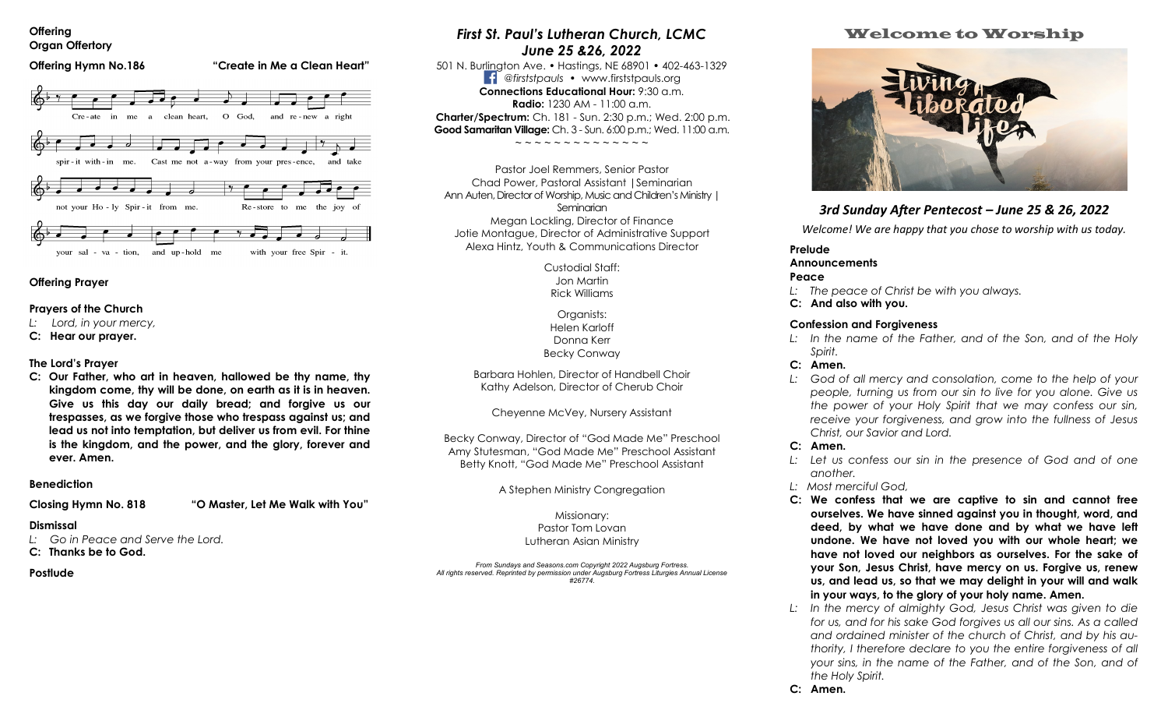#### **Offering Organ Offertory**



### **Offering Prayer**

### **Prayers of the Church**

- *L: Lord, in your mercy,*
- **C: Hear our prayer.**

### **The Lord's Prayer**

**C: Our Father, who art in heaven, hallowed be thy name, thy kingdom come, thy will be done, on earth as it is in heaven. Give us this day our daily bread; and forgive us our trespasses, as we forgive those who trespass against us; and lead us not into temptation, but deliver us from evil. For thine is the kingdom, and the power, and the glory, forever and ever. Amen.** 

### **Benediction**

**Closing Hymn No. 818 "O Master, Let Me Walk with You"** 

### **Dismissal**

*L: Go in Peace and Serve the Lord.* 

### **C: Thanks be to God.**

### **Postlude**

# *First St. Paul's Lutheran Church, LCMC June 25 &26, 2022*

501 N. Burlington Ave. • Hastings, NE 68901 • 402-463-1329 *@firststpauls* • www.firststpauls.org **Connections Educational Hour:** 9:30 a.m. **Radio:**  $1230$  AM -  $11:00$  a.m. **Charter/Spectrum:** Ch. 181 - Sun. 2:30 p.m.; Wed. 2:00 p.m. **Good Samaritan Village:** Ch. 3 - Sun. 6:00 p.m.; Wed. 11:00 a.m.

~ ~ ~ ~ ~ ~ ~ ~ ~ ~ ~ ~ ~ ~

Pastor Joel Remmers, Senior Pastor Chad Power, Pastoral Assistant |Seminarian Ann Auten, Director of Worship, Music and Children's Ministry | **Seminarian** Megan Lockling, Director of Finance Jotie Montague, Director of Administrative Support Alexa Hintz, Youth & Communications Director

> Custodial Staff: Jon Martin Rick Williams

Organists: Helen Karloff Donna Kerr Becky Conway

Barbara Hohlen, Director of Handbell Choir Kathy Adelson, Director of Cherub Choir

Cheyenne McVey, Nursery Assistant

Becky Conway, Director of "God Made Me" Preschool Amy Stutesman, "God Made Me" Preschool Assistant Betty Knott, "God Made Me" Preschool Assistant

A Stephen Ministry Congregation

Missionary: Pastor Tom Lovan Lutheran Asian Ministry

*From Sundays and Seasons.com Copyright 2022 Augsburg Fortress. All rights reserved. Reprinted by permission under Augsburg Fortress Liturgies Annual License #26774.*

### Welcome to Worship



## *3rd Sunday After Pentecost – June 25 & 26, 2022*

*Welcome! We are happy that you chose to worship with us today.* 

# **Prelude**

### **Announcements**

**Peace** 

- *L: The peace of Christ be with you always.*
- **C: And also with you.**

### **Confession and Forgiveness**

*L: In the name of the Father, and of the Son, and of the Holy Spirit.* 

### **C: Amen.**

*L: God of all mercy and consolation, come to the help of your people, turning us from our sin to live for you alone. Give us the power of your Holy Spirit that we may confess our sin, receive your forgiveness, and grow into the fullness of Jesus Christ, our Savior and Lord.* 

### **C: Amen.**

- *L: Let us confess our sin in the presence of God and of one another.*
- *L: Most merciful God,*
- **C: We confess that we are captive to sin and cannot free ourselves. We have sinned against you in thought, word, and deed, by what we have done and by what we have left undone. We have not loved you with our whole heart; we have not loved our neighbors as ourselves. For the sake of your Son, Jesus Christ, have mercy on us. Forgive us, renew us, and lead us, so that we may delight in your will and walk in your ways, to the glory of your holy name. Amen.**
- *L: In the mercy of almighty God, Jesus Christ was given to die for us, and for his sake God forgives us all our sins. As a called and ordained minister of the church of Christ, and by his authority, I therefore declare to you the entire forgiveness of all your sins, in the name of the Father, and of the Son, and of the Holy Spirit.*
- **C: Amen.**